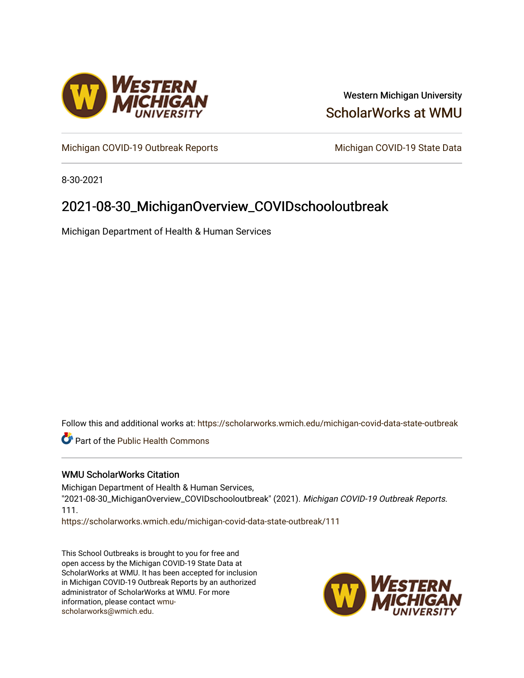

### Western Michigan University [ScholarWorks at WMU](https://scholarworks.wmich.edu/)

[Michigan COVID-19 Outbreak Reports](https://scholarworks.wmich.edu/michigan-covid-data-state-outbreak) Michigan COVID-19 State Data

8-30-2021

## 2021-08-30\_MichiganOverview\_COVIDschooloutbreak

Michigan Department of Health & Human Services

Follow this and additional works at: [https://scholarworks.wmich.edu/michigan-covid-data-state-outbreak](https://scholarworks.wmich.edu/michigan-covid-data-state-outbreak?utm_source=scholarworks.wmich.edu%2Fmichigan-covid-data-state-outbreak%2F111&utm_medium=PDF&utm_campaign=PDFCoverPages)

Part of the [Public Health Commons](http://network.bepress.com/hgg/discipline/738?utm_source=scholarworks.wmich.edu%2Fmichigan-covid-data-state-outbreak%2F111&utm_medium=PDF&utm_campaign=PDFCoverPages) 

### WMU ScholarWorks Citation

Michigan Department of Health & Human Services, "2021-08-30\_MichiganOverview\_COVIDschooloutbreak" (2021). Michigan COVID-19 Outbreak Reports. 111.

[https://scholarworks.wmich.edu/michigan-covid-data-state-outbreak/111](https://scholarworks.wmich.edu/michigan-covid-data-state-outbreak/111?utm_source=scholarworks.wmich.edu%2Fmichigan-covid-data-state-outbreak%2F111&utm_medium=PDF&utm_campaign=PDFCoverPages) 

This School Outbreaks is brought to you for free and open access by the Michigan COVID-19 State Data at ScholarWorks at WMU. It has been accepted for inclusion in Michigan COVID-19 Outbreak Reports by an authorized administrator of ScholarWorks at WMU. For more information, please contact [wmu](mailto:wmu-scholarworks@wmich.edu)[scholarworks@wmich.edu.](mailto:wmu-scholarworks@wmich.edu)